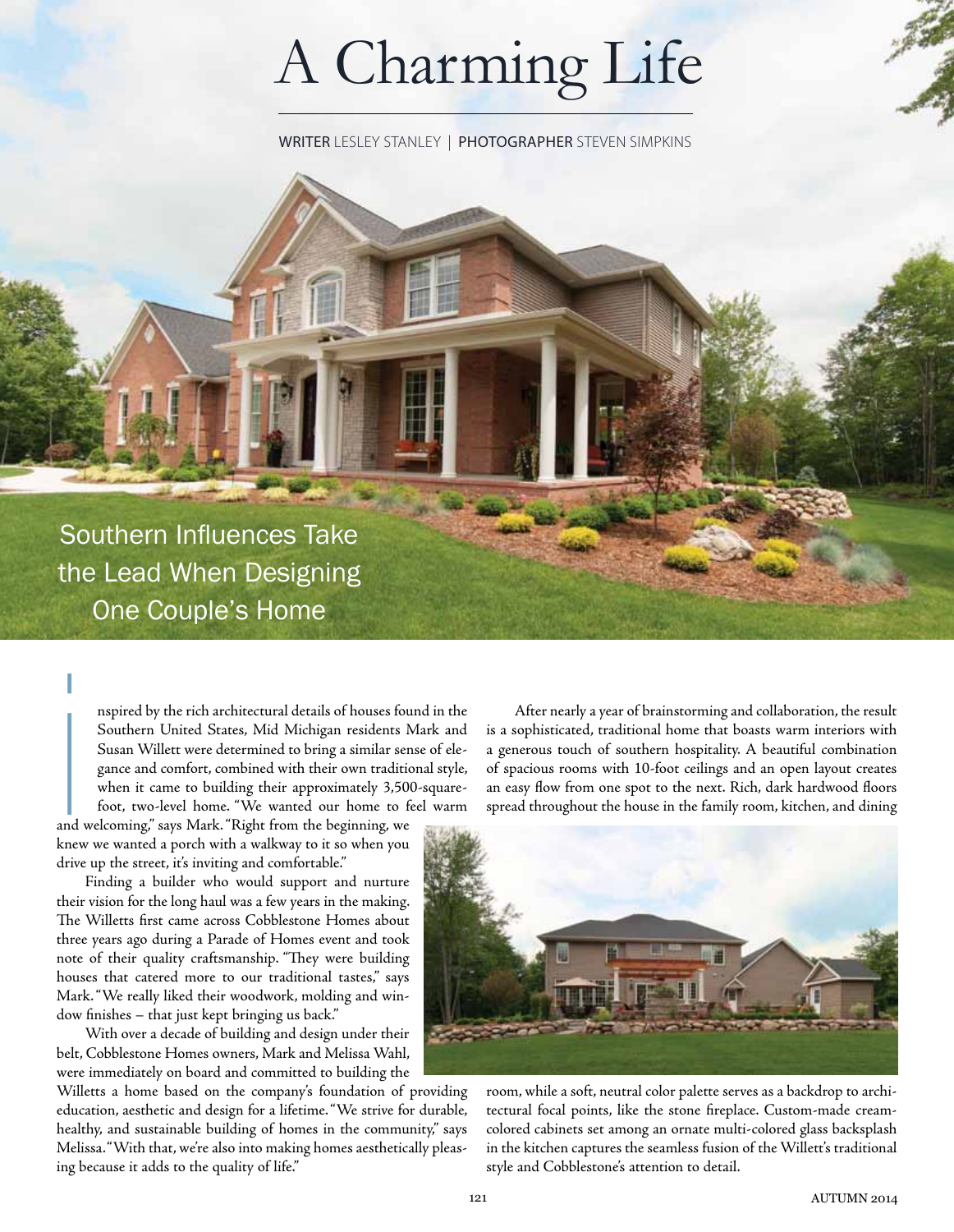# A Charming Life

WRITER Lesley Stanley | photographer Steven Simpkins

Southern Influences Take the Lead When Designing One Couple's Home

> nspired by the rich architectural details of houses found in the Southern United States, Mid Michigan residents Mark and Susan Willett were determined to bring a similar sense of elegance and comfort, combined with their own traditional style, when it came to building their approximately 3,500-squarefoot, two-level home. "We wanted our home to feel warm

and welcoming," says Mark. "Right from the beginning, we knew we wanted a porch with a walkway to it so when you drive up the street, it's inviting and comfortable."  $\begin{bmatrix} 1 \\ 1 \\ 2 \\ 3 \\ 4 \end{bmatrix}$  and  $\begin{bmatrix} 1 \\ 2 \\ 3 \\ 4 \end{bmatrix}$ 

Finding a builder who would support and nurture their vision for the long haul was a few years in the making. The Willetts first came across Cobblestone Homes about three years ago during a Parade of Homes event and took note of their quality craftsmanship. "They were building houses that catered more to our traditional tastes," says Mark. "We really liked their woodwork, molding and window finishes – that just kept bringing us back."

With over a decade of building and design under their belt, Cobblestone Homes owners, Mark and Melissa Wahl, were immediately on board and committed to building the

Willetts a home based on the company's foundation of providing education, aesthetic and design for a lifetime. "We strive for durable, healthy, and sustainable building of homes in the community," says Melissa. "With that, we're also into making homes aesthetically pleasing because it adds to the quality of life."

After nearly a year of brainstorming and collaboration, the result is a sophisticated, traditional home that boasts warm interiors with a generous touch of southern hospitality. A beautiful combination of spacious rooms with 10-foot ceilings and an open layout creates an easy flow from one spot to the next. Rich, dark hardwood floors spread throughout the house in the family room, kitchen, and dining



room, while a soft, neutral color palette serves as a backdrop to architectural focal points, like the stone fireplace. Custom-made creamcolored cabinets set among an ornate multi-colored glass backsplash in the kitchen captures the seamless fusion of the Willett's traditional style and Cobblestone's attention to detail.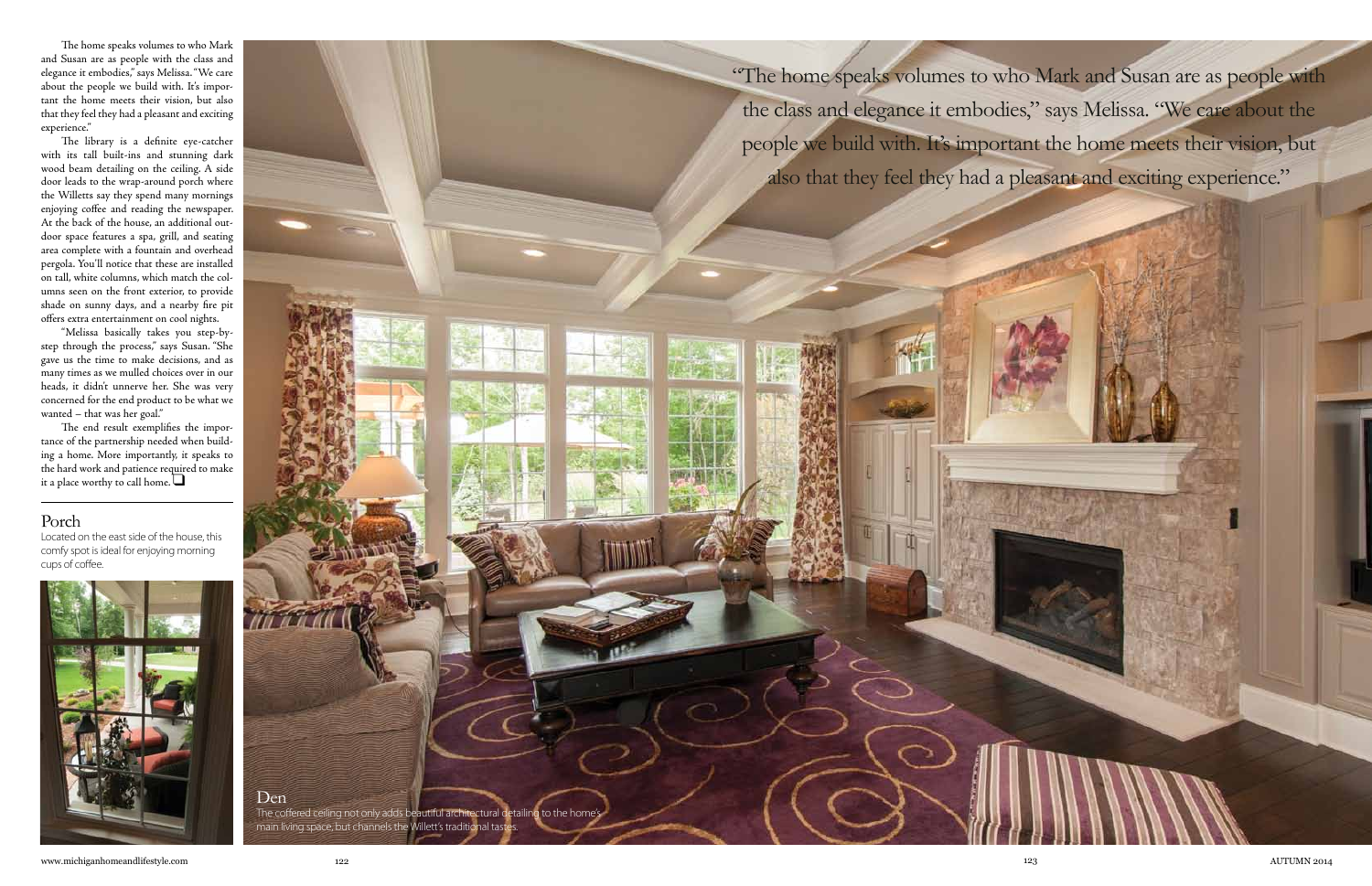The home speaks volumes to who Mark and Susan are as people with the class and elegance it embodies," says Melissa. "We care about the people we build with. It's important the home meets their vision, but also that they feel they had a pleasant and exciting experience."

The library is a definite eye-catcher with its tall built-ins and stunning dark wood beam detailing on the ceiling. A side door leads to the wrap-around porch where the Willetts say they spend many mornings enjoying coffee and reading the newspaper. At the back of the house, an additional outdoor space features a spa, grill, and seating area complete with a fountain and overhead pergola. You'll notice that these are installed on tall, white columns, which match the columns seen on the front exterior, to provide shade on sunny days, and a nearby fire pit offers extra entertainment on cool nights.

The end result exemplifies the importance of the partnership needed when building a home. More importantly, it speaks to the hard work and patience required to make it a place worthy to call home.  $\Box$ 

"Melissa basically takes you step-bystep through the process," says Susan. "She gave us the time to make decisions, and as many times as we mulled choices over in our heads, it didn't unnerve her. She was very concerned for the end product to be what we wanted – that was her goal."

the class and elegance it embodies," says Melissa. "We care about the people we build with. It's important the home meets their vision, but also that they feel they had a pleasant and exciting experience."

#### Porch



Located on the east side of the house, this comfy spot is ideal for enjoying morning cups of coffee.



www.michiganhomeandlifestyle.com 122 123 autumn 2014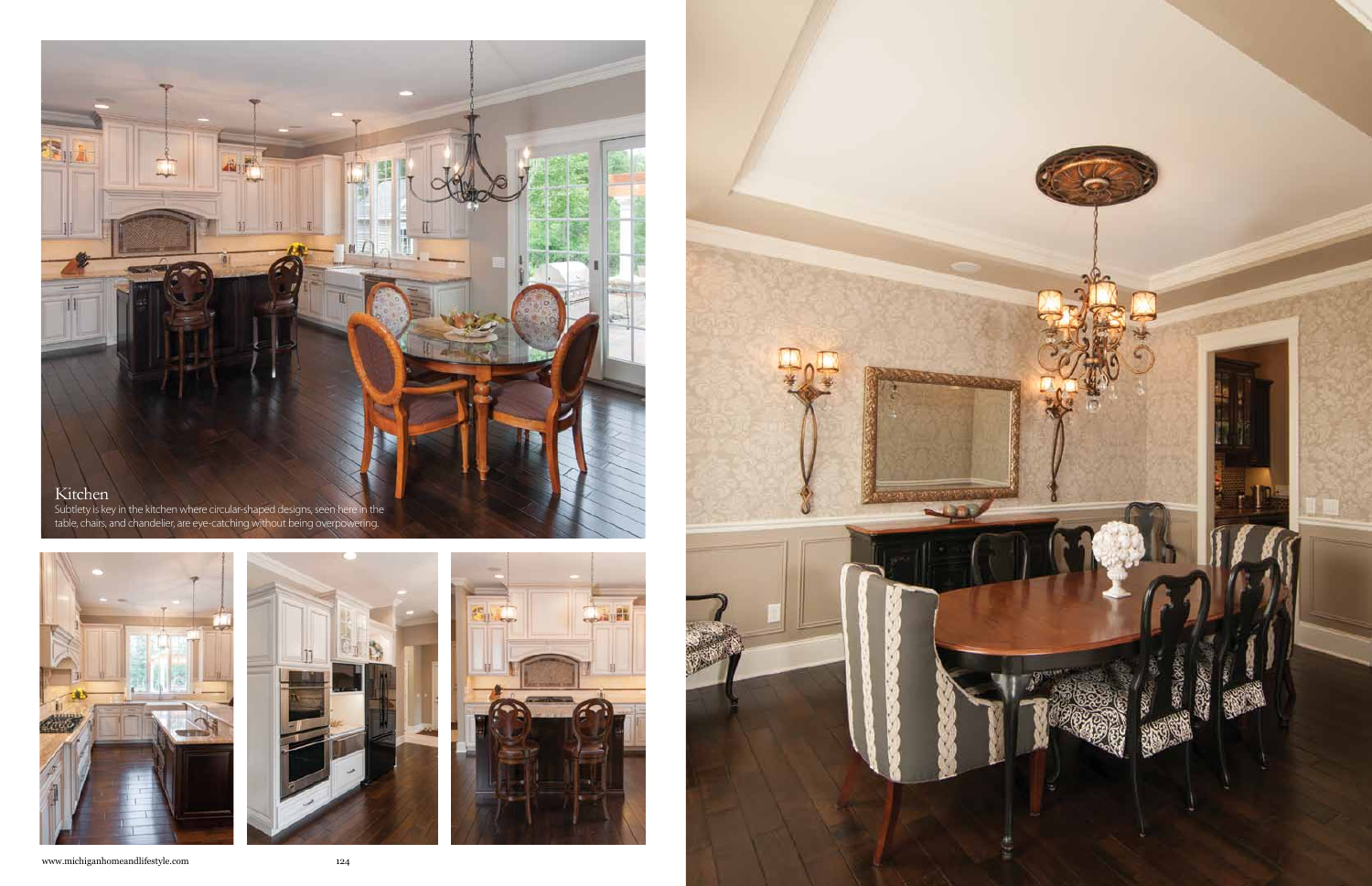

Subtlety is key in the kitchen where circular-shaped designs, seen here in the table, chairs, and chandelier, are eye-catching without being overpowering.







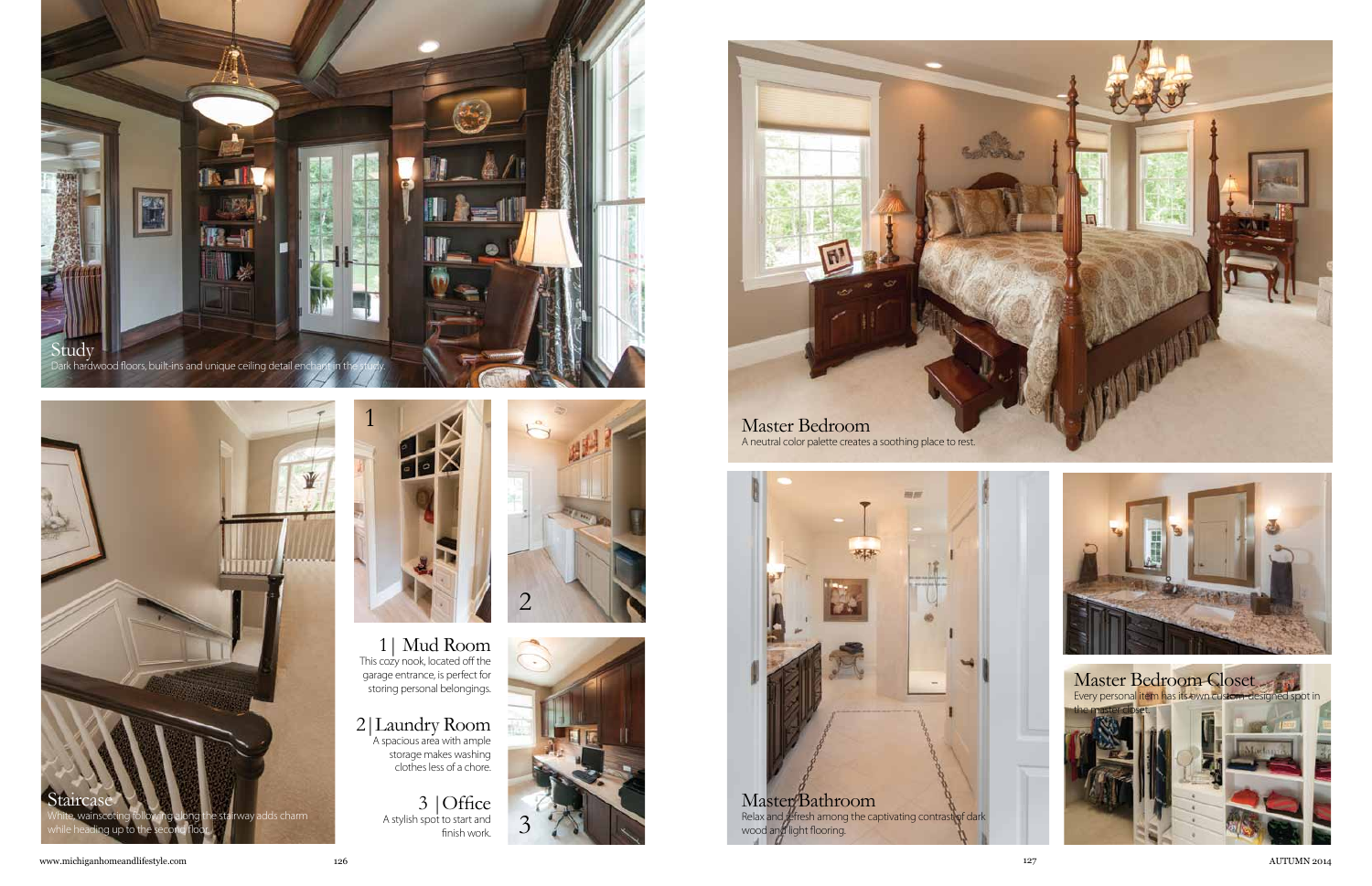



1| Mud Room This cozy nook, located off the garage entrance, is perfect for storing personal belongings.

2|Laundry Room A spacious area with ample storage makes washing clothes less of a chore.

> 3 |Office A stylish spot to start and finish work.